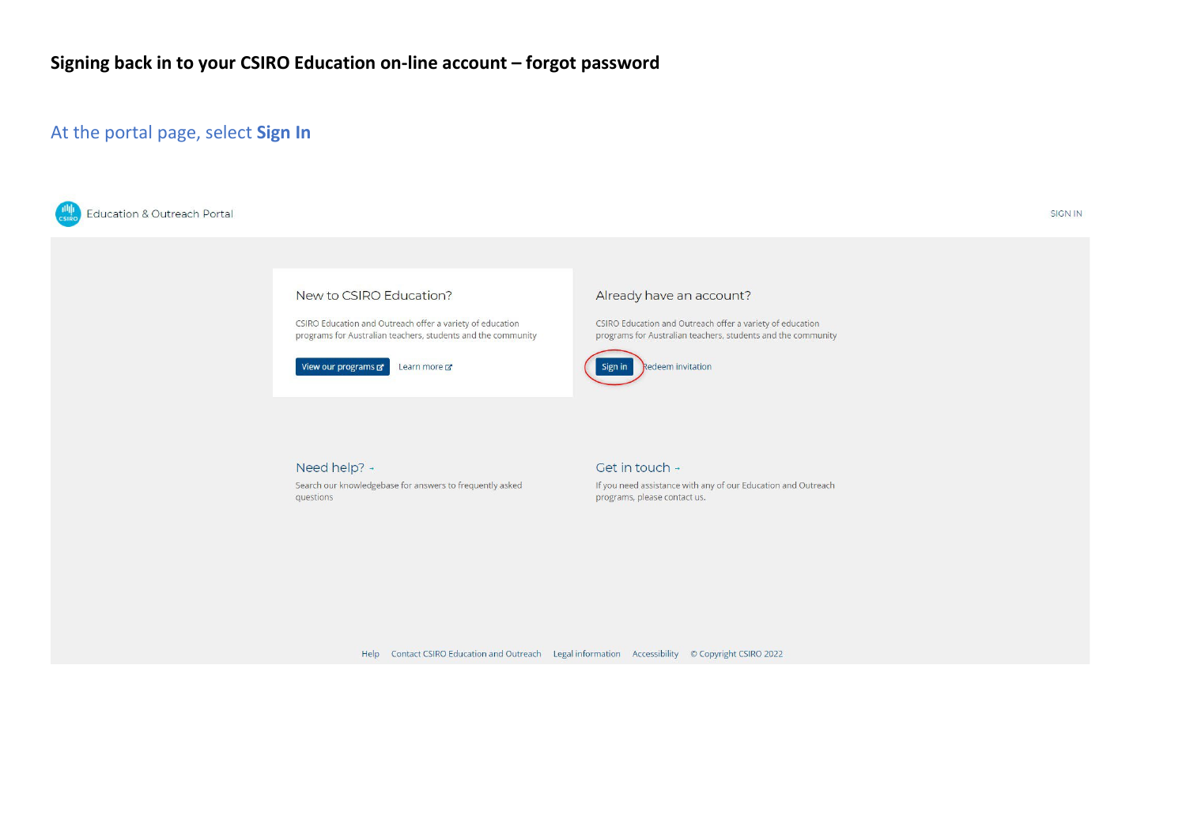### At the portal page, select Sign In



**SIGN IN** 



CSIRO Education and Outreach offer a variety of education programs for Australian teachers, students and the community

View our programs & Learn more

#### Already have an account?

CSIRO Education and Outreach offer a variety of education programs for Australian teachers, students and the community



Need help? + Search our knowledgebase for answers to frequently asked questions

#### Get in touch +

If you need assistance with any of our Education and Outreach programs, please contact us.

Help Contact CSIRO Education and Outreach Legal information Accessibility © Copyright CSIRO 2022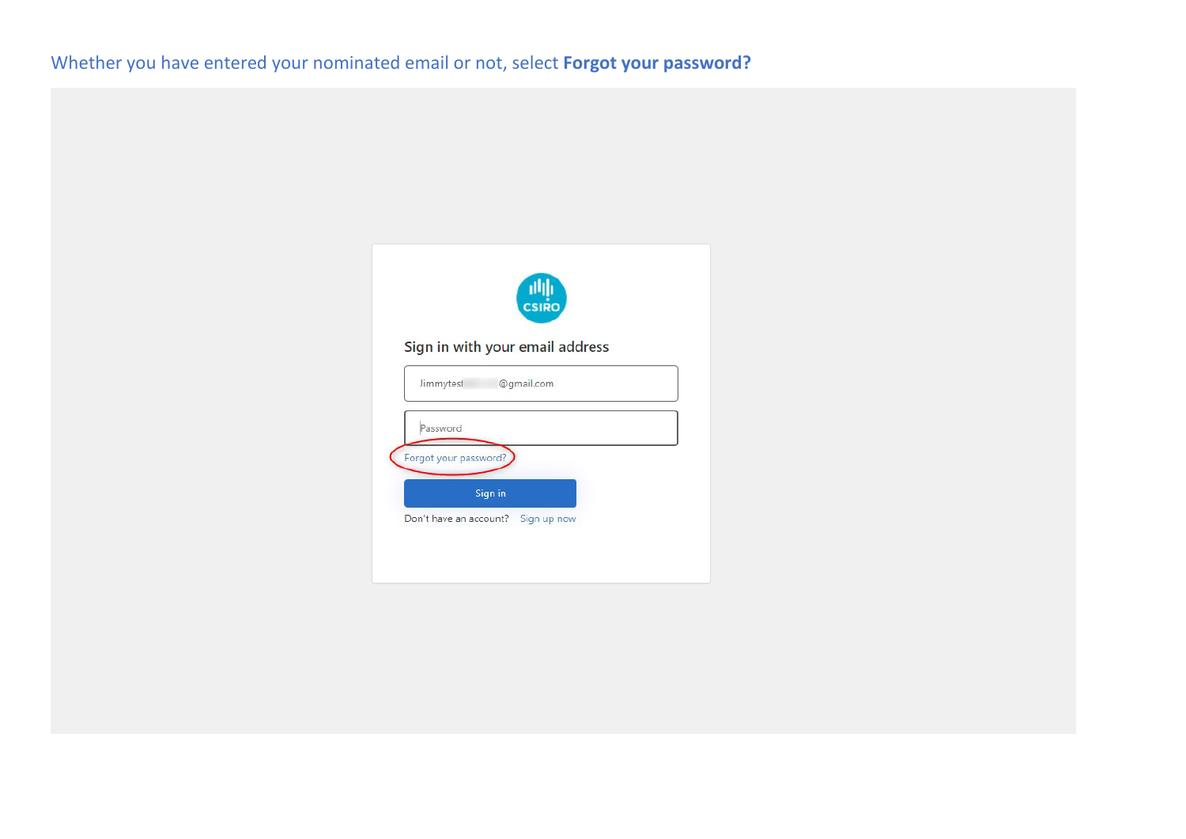|                                              | 画面<br>CSIRO |
|----------------------------------------------|-------------|
| Sign in with your email address<br>Jimmytest | @gmail.com  |
| Password                                     |             |
| Forgot your password?<br>Sign in             |             |
|                                              |             |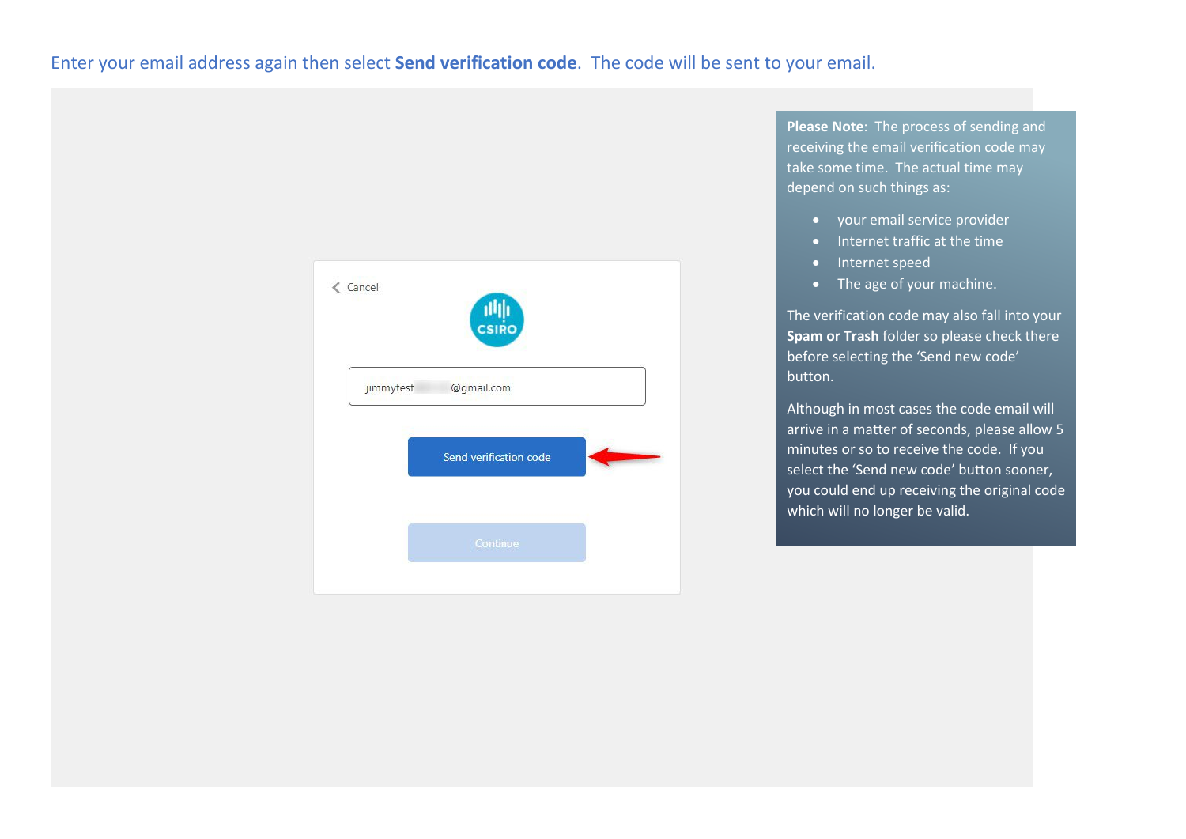## Enter your email address again then select **Send verification code**. The code will be sent to your email.



**Please Note**: The process of sending and receiving the email verification code may take some time. The actual time may depend on such things as:

- your email service provider
- Internet traffic at the time
- Internet speed
- The age of your machine.

The verification code may also fall into your **Spam or Trash** folder so please check there before selecting the 'Send new code' button.

Although in most cases the code email will arrive in a matter of seconds, please allow 5 minutes or so to receive the code. If you select the 'Send new code' button sooner, you could end up receiving the original code which will no longer be valid.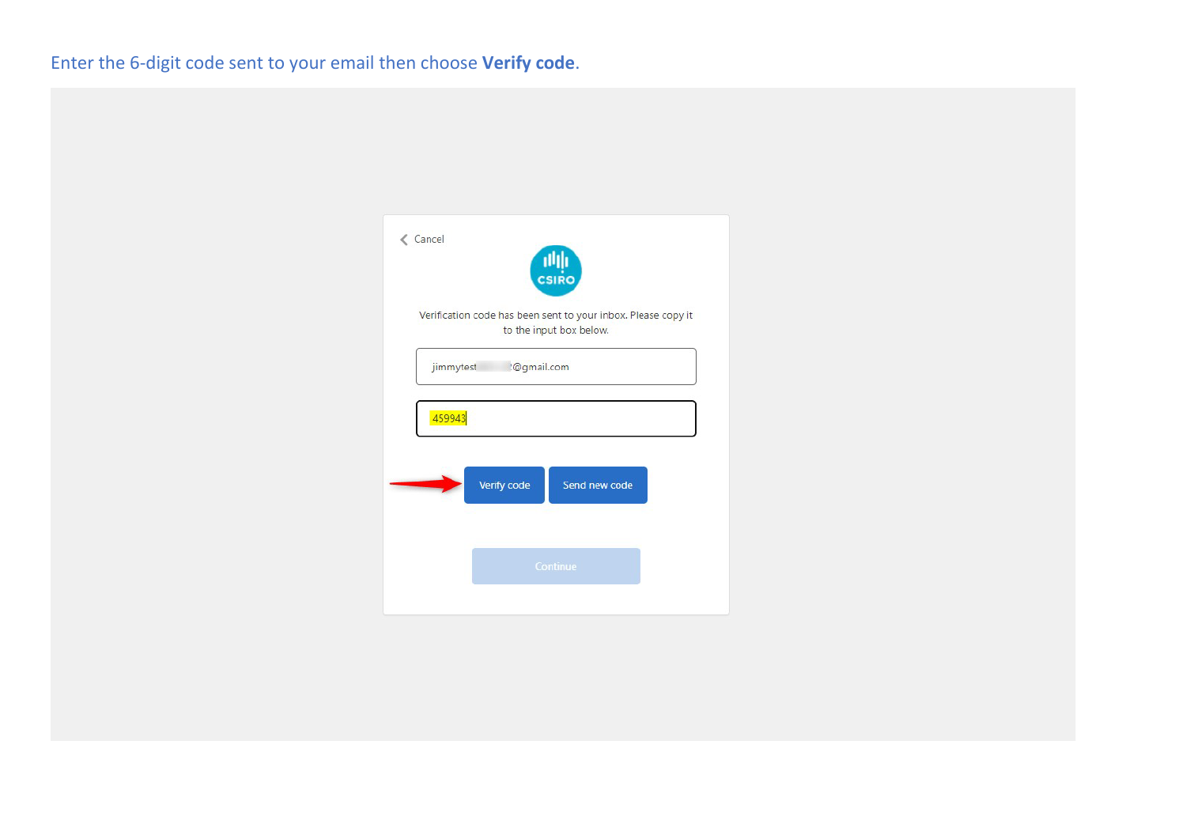# Enter the 6-digit code sent to your email then choose **Verify code**.

| <b>∠</b> Cancel | $\frac{     _1}{   }$                                                                    |
|-----------------|------------------------------------------------------------------------------------------|
|                 | Verification code has been sent to your inbox. Please copy it<br>to the input box below. |
|                 | :@gmail.com<br>jimmytest                                                                 |
|                 | 459943                                                                                   |
|                 | Verify code<br>Send new code                                                             |
|                 | Continue                                                                                 |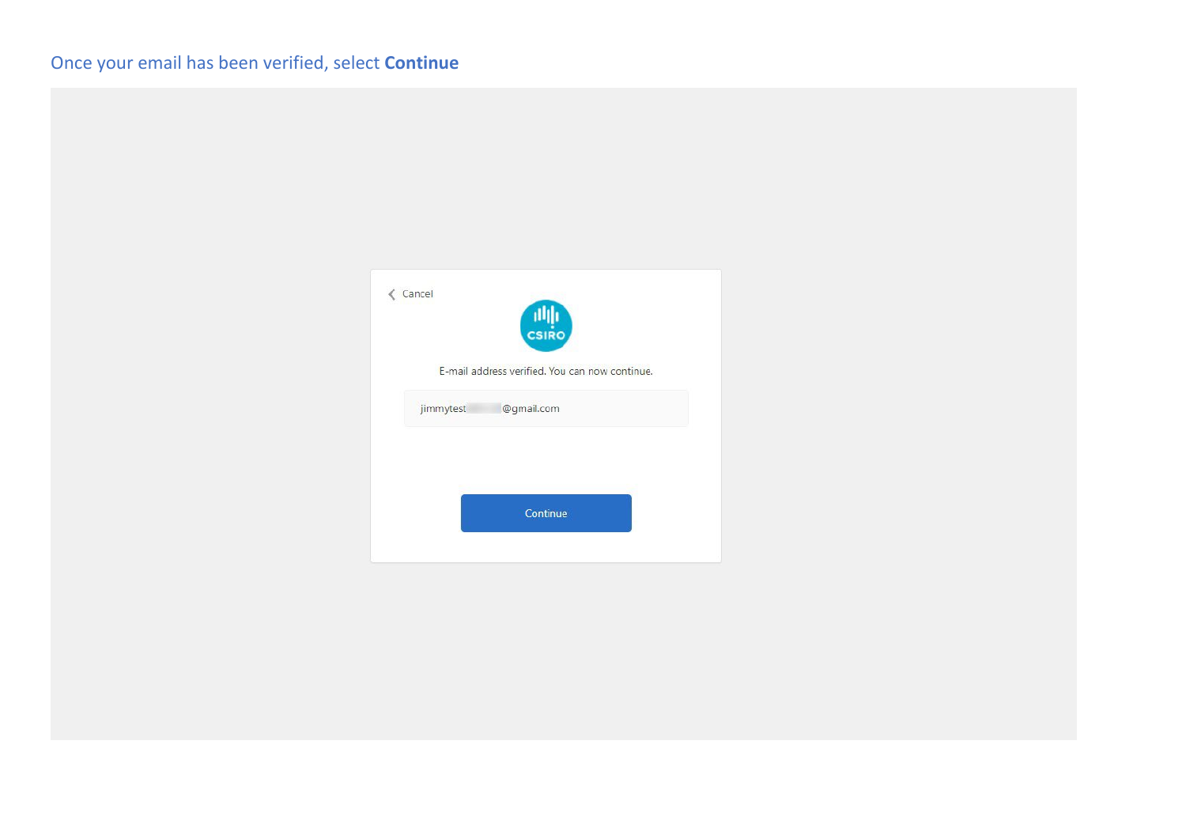| ← Cancel  | THE THE CH                                     |
|-----------|------------------------------------------------|
|           | E-mail address verified. You can now continue. |
| jimmytest | @gmail.com                                     |
|           |                                                |
|           |                                                |
|           | Continue                                       |
|           |                                                |